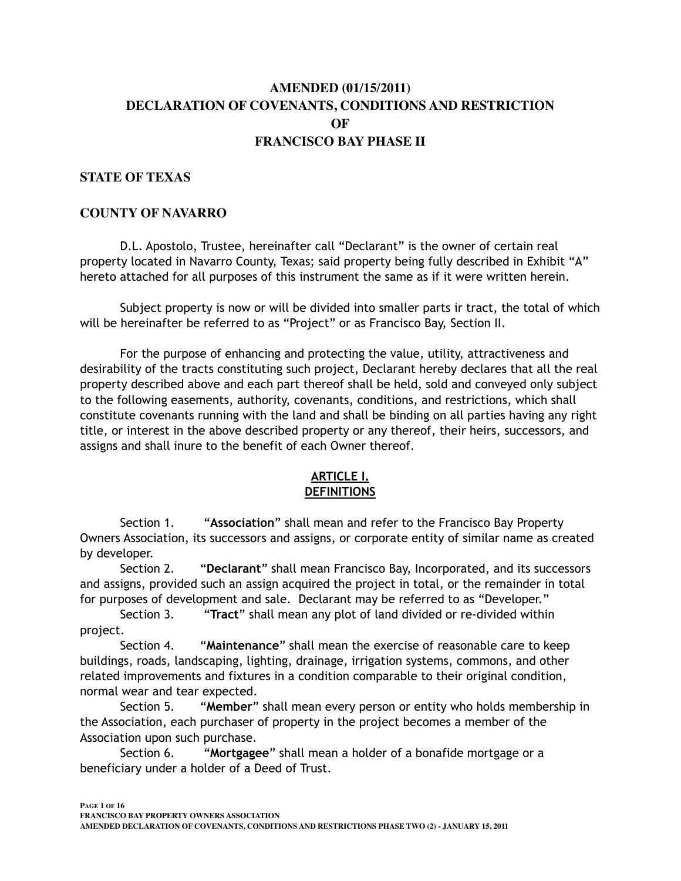# **AMENDED (01/15/2011) DECLARATION OF COVENANTS, CONDITIONS AND RESTRICTION OF FRANCISCO BAY PHASE II**

#### **STATE OF TEXAS**

#### **COUNTY OF NAVARRO**

D.L. Apostolo, Trustee, hereinafter call "Declarant" is the owner of certain real property located in Navarro County, Texas; said property being fully described in Exhibit "A" hereto attached for all purposes of this instrument the same as if it were written herein.

 Subject property is now or will be divided into smaller parts ir tract, the total of which will be hereinafter be referred to as "Project" or as Francisco Bay, Section II.

 For the purpose of enhancing and protecting the value, utility, attractiveness and desirability of the tracts constituting such project, Declarant hereby declares that all the real property described above and each part thereof shall be held, sold and conveyed only subject to the following easements, authority, covenants, conditions, and restrictions, which shall constitute covenants running with the land and shall be binding on all parties having any right title, or interest in the above described property or any thereof, their heirs, successors, and assigns and shall inure to the benefit of each Owner thereof.

## **ARTICLE I. DEFINITIONS**

Section 1. "**Association**" shall mean and refer to the Francisco Bay Property Owners Association, its successors and assigns, or corporate entity of similar name as created by developer.

Section 2. "**Declarant**" shall mean Francisco Bay, Incorporated, and its successors and assigns, provided such an assign acquired the project in total, or the remainder in total for purposes of development and sale. Declarant may be referred to as "Developer."

Section 3. "**Tract**" shall mean any plot of land divided or re-divided within project.

Section 4. "**Maintenance**" shall mean the exercise of reasonable care to keep buildings, roads, landscaping, lighting, drainage, irrigation systems, commons, and other related improvements and fixtures in a condition comparable to their original condition, normal wear and tear expected.

Section 5. "**Member**" shall mean every person or entity who holds membership in the Association, each purchaser of property in the project becomes a member of the Association upon such purchase.

Section 6. "**Mortgagee**" shall mean a holder of a bonafide mortgage or a beneficiary under a holder of a Deed of Trust.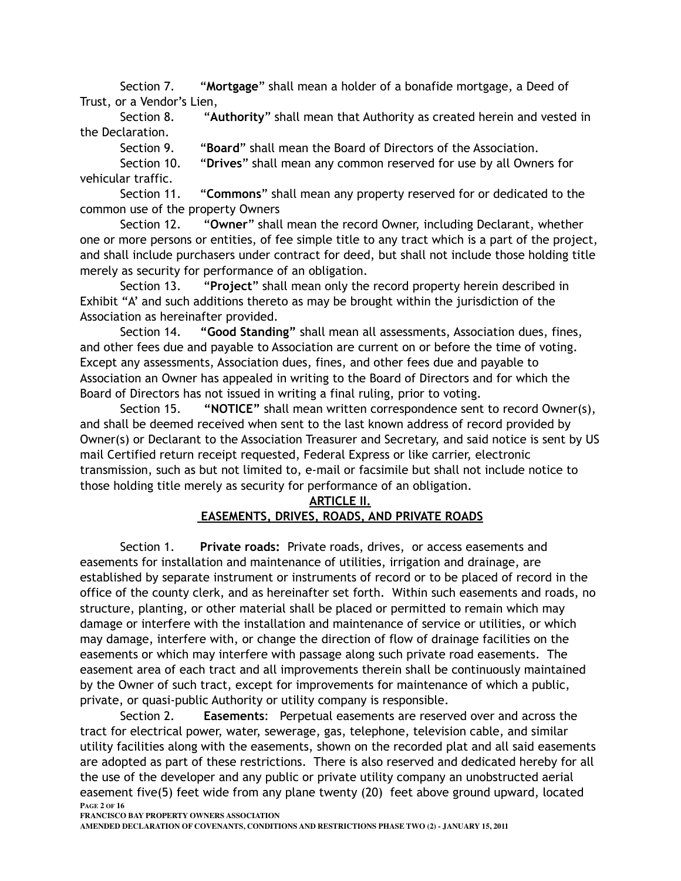Section 7. "**Mortgage**" shall mean a holder of a bonafide mortgage, a Deed of Trust, or a Vendor's Lien,

Section 8. "**Authority**" shall mean that Authority as created herein and vested in the Declaration.

Section 9. "**Board**" shall mean the Board of Directors of the Association.

Section 10. "**Drives**" shall mean any common reserved for use by all Owners for vehicular traffic.

Section 11. "**Commons**" shall mean any property reserved for or dedicated to the common use of the property Owners

Section 12. "**Owner**" shall mean the record Owner, including Declarant, whether one or more persons or entities, of fee simple title to any tract which is a part of the project, and shall include purchasers under contract for deed, but shall not include those holding title merely as security for performance of an obligation.

Section 13. "**Project**" shall mean only the record property herein described in Exhibit "A' and such additions thereto as may be brought within the jurisdiction of the Association as hereinafter provided.

Section 14. **"Good Standing"** shall mean all assessments, Association dues, fines, and other fees due and payable to Association are current on or before the time of voting. Except any assessments, Association dues, fines, and other fees due and payable to Association an Owner has appealed in writing to the Board of Directors and for which the Board of Directors has not issued in writing a final ruling, prior to voting.

Section 15. **"NOTICE"** shall mean written correspondence sent to record Owner(s), and shall be deemed received when sent to the last known address of record provided by Owner(s) or Declarant to the Association Treasurer and Secretary, and said notice is sent by US mail Certified return receipt requested, Federal Express or like carrier, electronic transmission, such as but not limited to, e-mail or facsimile but shall not include notice to those holding title merely as security for performance of an obligation.

#### **ARTICLE II.**

#### **EASEMENTS, DRIVES, ROADS, AND PRIVATE ROADS**

 Section 1. **Private roads:** Private roads, drives, or access easements and easements for installation and maintenance of utilities, irrigation and drainage, are established by separate instrument or instruments of record or to be placed of record in the office of the county clerk, and as hereinafter set forth. Within such easements and roads, no structure, planting, or other material shall be placed or permitted to remain which may damage or interfere with the installation and maintenance of service or utilities, or which may damage, interfere with, or change the direction of flow of drainage facilities on the easements or which may interfere with passage along such private road easements. The easement area of each tract and all improvements therein shall be continuously maintained by the Owner of such tract, except for improvements for maintenance of which a public, private, or quasi-public Authority or utility company is responsible.

 Section 2. **Easements**: Perpetual easements are reserved over and across the tract for electrical power, water, sewerage, gas, telephone, television cable, and similar utility facilities along with the easements, shown on the recorded plat and all said easements are adopted as part of these restrictions. There is also reserved and dedicated hereby for all the use of the developer and any public or private utility company an unobstructed aerial easement five(5) feet wide from any plane twenty (20) feet above ground upward, located **PAGE 2 OF 16**

**FRANCISCO BAY PROPERTY OWNERS ASSOCIATION**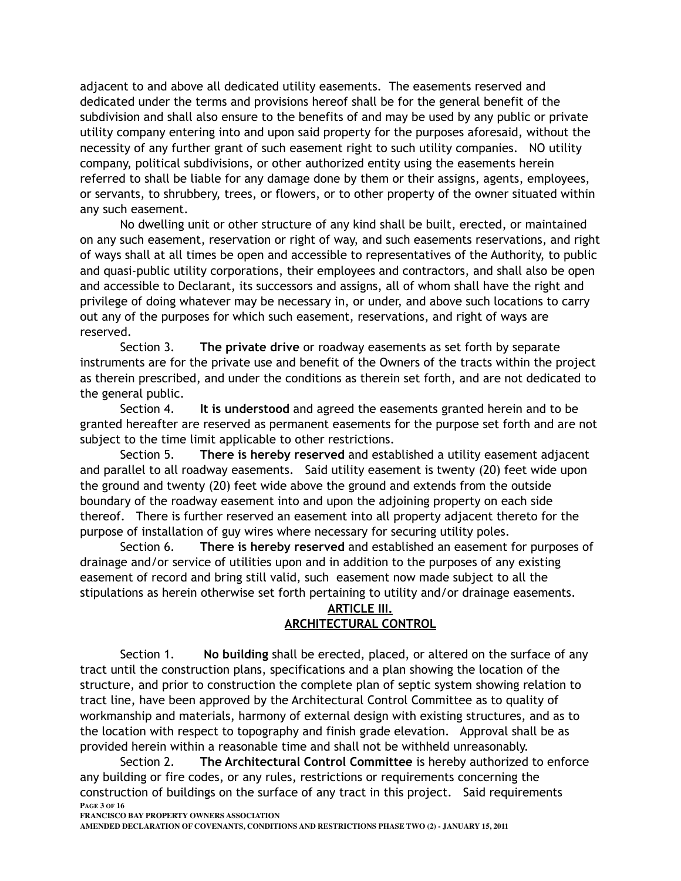adjacent to and above all dedicated utility easements. The easements reserved and dedicated under the terms and provisions hereof shall be for the general benefit of the subdivision and shall also ensure to the benefits of and may be used by any public or private utility company entering into and upon said property for the purposes aforesaid, without the necessity of any further grant of such easement right to such utility companies. NO utility company, political subdivisions, or other authorized entity using the easements herein referred to shall be liable for any damage done by them or their assigns, agents, employees, or servants, to shrubbery, trees, or flowers, or to other property of the owner situated within any such easement.

 No dwelling unit or other structure of any kind shall be built, erected, or maintained on any such easement, reservation or right of way, and such easements reservations, and right of ways shall at all times be open and accessible to representatives of the Authority, to public and quasi-public utility corporations, their employees and contractors, and shall also be open and accessible to Declarant, its successors and assigns, all of whom shall have the right and privilege of doing whatever may be necessary in, or under, and above such locations to carry out any of the purposes for which such easement, reservations, and right of ways are reserved.

 Section 3. **The private drive** or roadway easements as set forth by separate instruments are for the private use and benefit of the Owners of the tracts within the project as therein prescribed, and under the conditions as therein set forth, and are not dedicated to the general public.

Section 4. **It is understood** and agreed the easements granted herein and to be granted hereafter are reserved as permanent easements for the purpose set forth and are not subject to the time limit applicable to other restrictions.

 Section 5. **There is hereby reserved** and established a utility easement adjacent and parallel to all roadway easements. Said utility easement is twenty (20) feet wide upon the ground and twenty (20) feet wide above the ground and extends from the outside boundary of the roadway easement into and upon the adjoining property on each side thereof. There is further reserved an easement into all property adjacent thereto for the purpose of installation of guy wires where necessary for securing utility poles.

Section 6. **There is hereby reserved** and established an easement for purposes of drainage and/or service of utilities upon and in addition to the purposes of any existing easement of record and bring still valid, such easement now made subject to all the stipulations as herein otherwise set forth pertaining to utility and/or drainage easements.

#### **ARTICLE III. ARCHITECTURAL CONTROL**

Section 1. **No building** shall be erected, placed, or altered on the surface of any tract until the construction plans, specifications and a plan showing the location of the structure, and prior to construction the complete plan of septic system showing relation to tract line, have been approved by the Architectural Control Committee as to quality of workmanship and materials, harmony of external design with existing structures, and as to the location with respect to topography and finish grade elevation. Approval shall be as provided herein within a reasonable time and shall not be withheld unreasonably.

Section 2. **The Architectural Control Committee** is hereby authorized to enforce any building or fire codes, or any rules, restrictions or requirements concerning the construction of buildings on the surface of any tract in this project. Said requirements **PAGE 3 OF 16**

**FRANCISCO BAY PROPERTY OWNERS ASSOCIATION**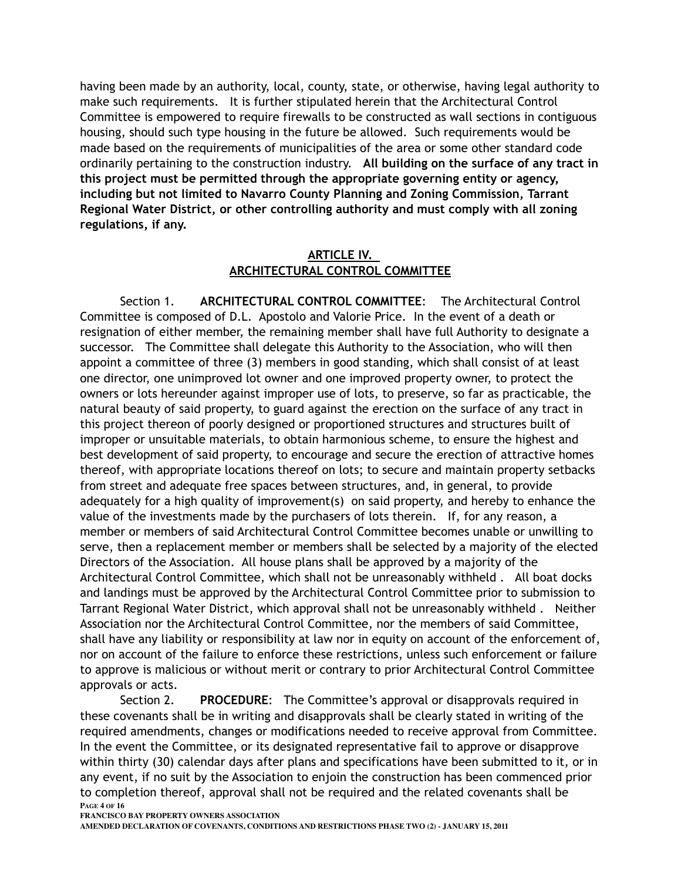having been made by an authority, local, county, state, or otherwise, having legal authority to make such requirements. It is further stipulated herein that the Architectural Control Committee is empowered to require firewalls to be constructed as wall sections in contiguous housing, should such type housing in the future be allowed. Such requirements would be made based on the requirements of municipalities of the area or some other standard code ordinarily pertaining to the construction industry. **All building on the surface of any tract in this project must be permitted through the appropriate governing entity or agency, including but not limited to Navarro County Planning and Zoning Commission, Tarrant Regional Water District, or other controlling authority and must comply with all zoning regulations, if any.**

## **ARTICLE IV. ARCHITECTURAL CONTROL COMMITTEE**

Section 1. **ARCHITECTURAL CONTROL COMMITTEE**: The Architectural Control Committee is composed of D.L. Apostolo and Valorie Price. In the event of a death or resignation of either member, the remaining member shall have full Authority to designate a successor. The Committee shall delegate this Authority to the Association, who will then appoint a committee of three (3) members in good standing, which shall consist of at least one director, one unimproved lot owner and one improved property owner, to protect the owners or lots hereunder against improper use of lots, to preserve, so far as practicable, the natural beauty of said property, to guard against the erection on the surface of any tract in this project thereon of poorly designed or proportioned structures and structures built of improper or unsuitable materials, to obtain harmonious scheme, to ensure the highest and best development of said property, to encourage and secure the erection of attractive homes thereof, with appropriate locations thereof on lots; to secure and maintain property setbacks from street and adequate free spaces between structures, and, in general, to provide adequately for a high quality of improvement(s) on said property, and hereby to enhance the value of the investments made by the purchasers of lots therein. If, for any reason, a member or members of said Architectural Control Committee becomes unable or unwilling to serve, then a replacement member or members shall be selected by a majority of the elected Directors of the Association. All house plans shall be approved by a majority of the Architectural Control Committee, which shall not be unreasonably withheld . All boat docks and landings must be approved by the Architectural Control Committee prior to submission to Tarrant Regional Water District, which approval shall not be unreasonably withheld . Neither Association nor the Architectural Control Committee, nor the members of said Committee, shall have any liability or responsibility at law nor in equity on account of the enforcement of, nor on account of the failure to enforce these restrictions, unless such enforcement or failure to approve is malicious or without merit or contrary to prior Architectural Control Committee approvals or acts.

Section 2. **PROCEDURE**: The Committee's approval or disapprovals required in these covenants shall be in writing and disapprovals shall be clearly stated in writing of the required amendments, changes or modifications needed to receive approval from Committee. In the event the Committee, or its designated representative fail to approve or disapprove within thirty (30) calendar days after plans and specifications have been submitted to it, or in any event, if no suit by the Association to enjoin the construction has been commenced prior to completion thereof, approval shall not be required and the related covenants shall be **PAGE 4 OF 16**

**FRANCISCO BAY PROPERTY OWNERS ASSOCIATION**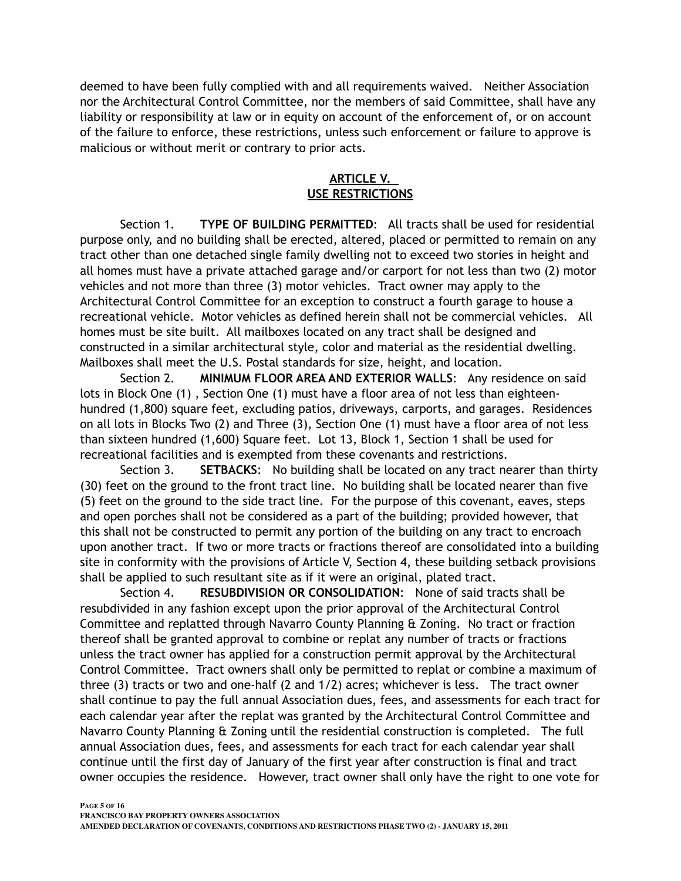deemed to have been fully complied with and all requirements waived. Neither Association nor the Architectural Control Committee, nor the members of said Committee, shall have any liability or responsibility at law or in equity on account of the enforcement of, or on account of the failure to enforce, these restrictions, unless such enforcement or failure to approve is malicious or without merit or contrary to prior acts.

## **ARTICLE V. USE RESTRICTIONS**

Section 1. **TYPE OF BUILDING PERMITTED**: All tracts shall be used for residential purpose only, and no building shall be erected, altered, placed or permitted to remain on any tract other than one detached single family dwelling not to exceed two stories in height and all homes must have a private attached garage and/or carport for not less than two (2) motor vehicles and not more than three (3) motor vehicles. Tract owner may apply to the Architectural Control Committee for an exception to construct a fourth garage to house a recreational vehicle. Motor vehicles as defined herein shall not be commercial vehicles. All homes must be site built. All mailboxes located on any tract shall be designed and constructed in a similar architectural style, color and material as the residential dwelling. Mailboxes shall meet the U.S. Postal standards for size, height, and location.

Section 2. **MINIMUM FLOOR AREA AND EXTERIOR WALLS**: Any residence on said lots in Block One (1) , Section One (1) must have a floor area of not less than eighteenhundred (1,800) square feet, excluding patios, driveways, carports, and garages. Residences on all lots in Blocks Two (2) and Three (3), Section One (1) must have a floor area of not less than sixteen hundred (1,600) Square feet. Lot 13, Block 1, Section 1 shall be used for recreational facilities and is exempted from these covenants and restrictions.

Section 3. **SETBACKS**: No building shall be located on any tract nearer than thirty (30) feet on the ground to the front tract line. No building shall be located nearer than five (5) feet on the ground to the side tract line. For the purpose of this covenant, eaves, steps and open porches shall not be considered as a part of the building; provided however, that this shall not be constructed to permit any portion of the building on any tract to encroach upon another tract. If two or more tracts or fractions thereof are consolidated into a building site in conformity with the provisions of Article V, Section 4, these building setback provisions shall be applied to such resultant site as if it were an original, plated tract.

Section 4. **RESUBDIVISION OR CONSOLIDATION**: None of said tracts shall be resubdivided in any fashion except upon the prior approval of the Architectural Control Committee and replatted through Navarro County Planning & Zoning. No tract or fraction thereof shall be granted approval to combine or replat any number of tracts or fractions unless the tract owner has applied for a construction permit approval by the Architectural Control Committee. Tract owners shall only be permitted to replat or combine a maximum of three (3) tracts or two and one-half (2 and 1/2) acres; whichever is less. The tract owner shall continue to pay the full annual Association dues, fees, and assessments for each tract for each calendar year after the replat was granted by the Architectural Control Committee and Navarro County Planning & Zoning until the residential construction is completed. The full annual Association dues, fees, and assessments for each tract for each calendar year shall continue until the first day of January of the first year after construction is final and tract owner occupies the residence. However, tract owner shall only have the right to one vote for

**PAGE 5 OF 16 FRANCISCO BAY PROPERTY OWNERS ASSOCIATION AMENDED DECLARATION OF COVENANTS, CONDITIONS AND RESTRICTIONS PHASE TWO (2) - JANUARY 15, 2011**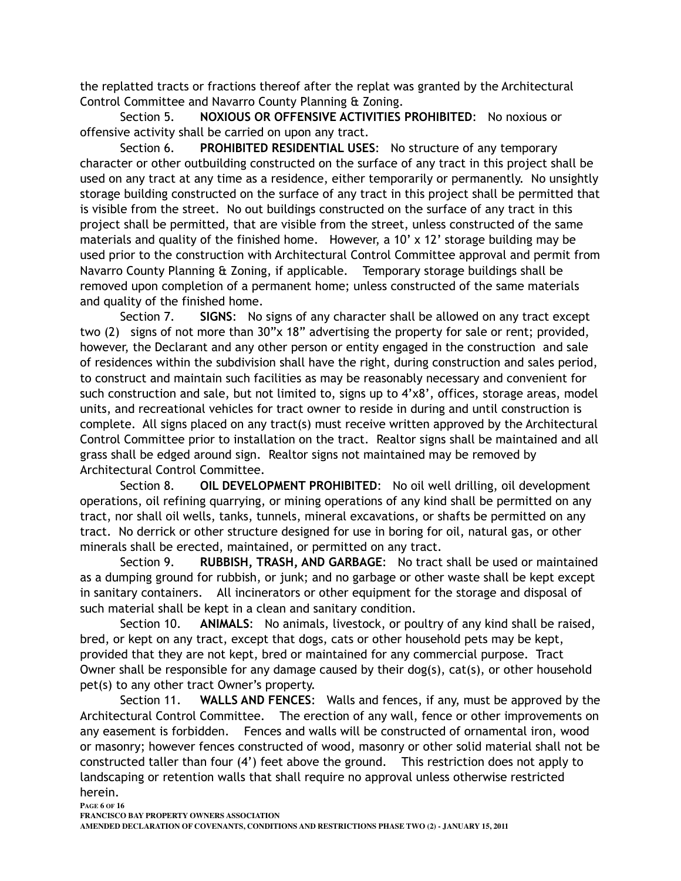the replatted tracts or fractions thereof after the replat was granted by the Architectural Control Committee and Navarro County Planning & Zoning.

Section 5. **NOXIOUS OR OFFENSIVE ACTIVITIES PROHIBITED**: No noxious or offensive activity shall be carried on upon any tract.

Section 6. **PROHIBITED RESIDENTIAL USES**: No structure of any temporary character or other outbuilding constructed on the surface of any tract in this project shall be used on any tract at any time as a residence, either temporarily or permanently. No unsightly storage building constructed on the surface of any tract in this project shall be permitted that is visible from the street. No out buildings constructed on the surface of any tract in this project shall be permitted, that are visible from the street, unless constructed of the same materials and quality of the finished home. However, a 10' x 12' storage building may be used prior to the construction with Architectural Control Committee approval and permit from Navarro County Planning & Zoning, if applicable. Temporary storage buildings shall be removed upon completion of a permanent home; unless constructed of the same materials and quality of the finished home.

Section 7. **SIGNS**: No signs of any character shall be allowed on any tract except two (2) signs of not more than 30"x 18" advertising the property for sale or rent; provided, however, the Declarant and any other person or entity engaged in the construction and sale of residences within the subdivision shall have the right, during construction and sales period, to construct and maintain such facilities as may be reasonably necessary and convenient for such construction and sale, but not limited to, signs up to 4'x8', offices, storage areas, model units, and recreational vehicles for tract owner to reside in during and until construction is complete. All signs placed on any tract(s) must receive written approved by the Architectural Control Committee prior to installation on the tract. Realtor signs shall be maintained and all grass shall be edged around sign. Realtor signs not maintained may be removed by Architectural Control Committee.

Section 8. **OIL DEVELOPMENT PROHIBITED**: No oil well drilling, oil development operations, oil refining quarrying, or mining operations of any kind shall be permitted on any tract, nor shall oil wells, tanks, tunnels, mineral excavations, or shafts be permitted on any tract. No derrick or other structure designed for use in boring for oil, natural gas, or other minerals shall be erected, maintained, or permitted on any tract.

Section 9. **RUBBISH, TRASH, AND GARBAGE**: No tract shall be used or maintained as a dumping ground for rubbish, or junk; and no garbage or other waste shall be kept except in sanitary containers. All incinerators or other equipment for the storage and disposal of such material shall be kept in a clean and sanitary condition.

Section 10. **ANIMALS**: No animals, livestock, or poultry of any kind shall be raised, bred, or kept on any tract, except that dogs, cats or other household pets may be kept, provided that they are not kept, bred or maintained for any commercial purpose. Tract Owner shall be responsible for any damage caused by their dog(s), cat(s), or other household pet(s) to any other tract Owner's property.

Section 11. **WALLS AND FENCES**: Walls and fences, if any, must be approved by the Architectural Control Committee. The erection of any wall, fence or other improvements on any easement is forbidden. Fences and walls will be constructed of ornamental iron, wood or masonry; however fences constructed of wood, masonry or other solid material shall not be constructed taller than four (4') feet above the ground. This restriction does not apply to landscaping or retention walls that shall require no approval unless otherwise restricted herein.

**PAGE 6 OF 16**

**FRANCISCO BAY PROPERTY OWNERS ASSOCIATION**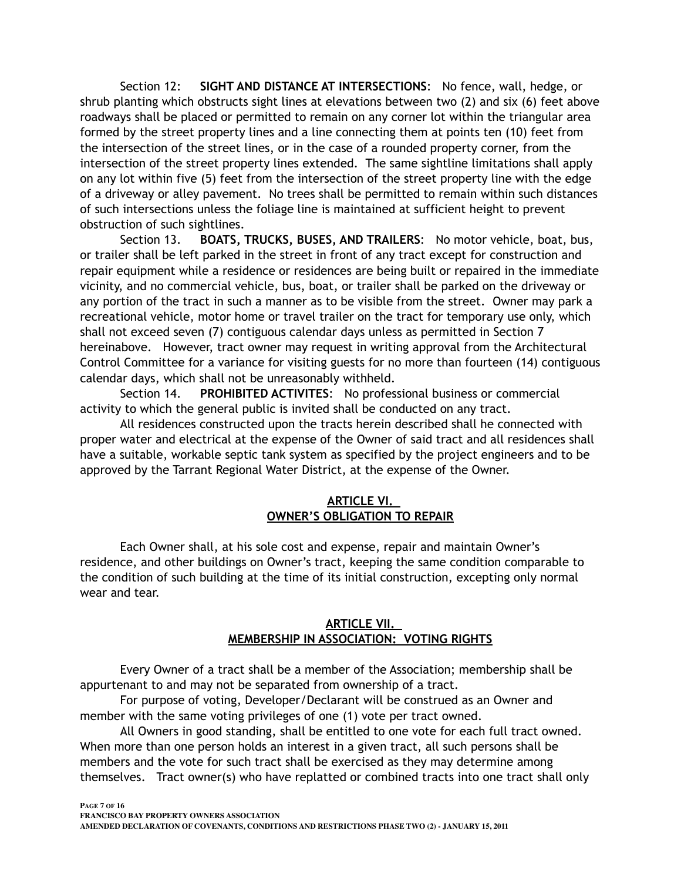Section 12: **SIGHT AND DISTANCE AT INTERSECTIONS**: No fence, wall, hedge, or shrub planting which obstructs sight lines at elevations between two (2) and six (6) feet above roadways shall be placed or permitted to remain on any corner lot within the triangular area formed by the street property lines and a line connecting them at points ten (10) feet from the intersection of the street lines, or in the case of a rounded property corner, from the intersection of the street property lines extended. The same sightline limitations shall apply on any lot within five (5) feet from the intersection of the street property line with the edge of a driveway or alley pavement. No trees shall be permitted to remain within such distances of such intersections unless the foliage line is maintained at sufficient height to prevent obstruction of such sightlines.

Section 13. **BOATS, TRUCKS, BUSES, AND TRAILERS**: No motor vehicle, boat, bus, or trailer shall be left parked in the street in front of any tract except for construction and repair equipment while a residence or residences are being built or repaired in the immediate vicinity, and no commercial vehicle, bus, boat, or trailer shall be parked on the driveway or any portion of the tract in such a manner as to be visible from the street. Owner may park a recreational vehicle, motor home or travel trailer on the tract for temporary use only, which shall not exceed seven (7) contiguous calendar days unless as permitted in Section 7 hereinabove. However, tract owner may request in writing approval from the Architectural Control Committee for a variance for visiting guests for no more than fourteen (14) contiguous calendar days, which shall not be unreasonably withheld.

Section 14. **PROHIBITED ACTIVITES**: No professional business or commercial activity to which the general public is invited shall be conducted on any tract.

All residences constructed upon the tracts herein described shall he connected with proper water and electrical at the expense of the Owner of said tract and all residences shall have a suitable, workable septic tank system as specified by the project engineers and to be approved by the Tarrant Regional Water District, at the expense of the Owner.

#### **ARTICLE VI. OWNER'S OBLIGATION TO REPAIR**

Each Owner shall, at his sole cost and expense, repair and maintain Owner's residence, and other buildings on Owner's tract, keeping the same condition comparable to the condition of such building at the time of its initial construction, excepting only normal wear and tear.

## **ARTICLE VII. MEMBERSHIP IN ASSOCIATION: VOTING RIGHTS**

Every Owner of a tract shall be a member of the Association; membership shall be appurtenant to and may not be separated from ownership of a tract.

For purpose of voting, Developer/Declarant will be construed as an Owner and member with the same voting privileges of one (1) vote per tract owned.

All Owners in good standing, shall be entitled to one vote for each full tract owned. When more than one person holds an interest in a given tract, all such persons shall be members and the vote for such tract shall be exercised as they may determine among themselves. Tract owner(s) who have replatted or combined tracts into one tract shall only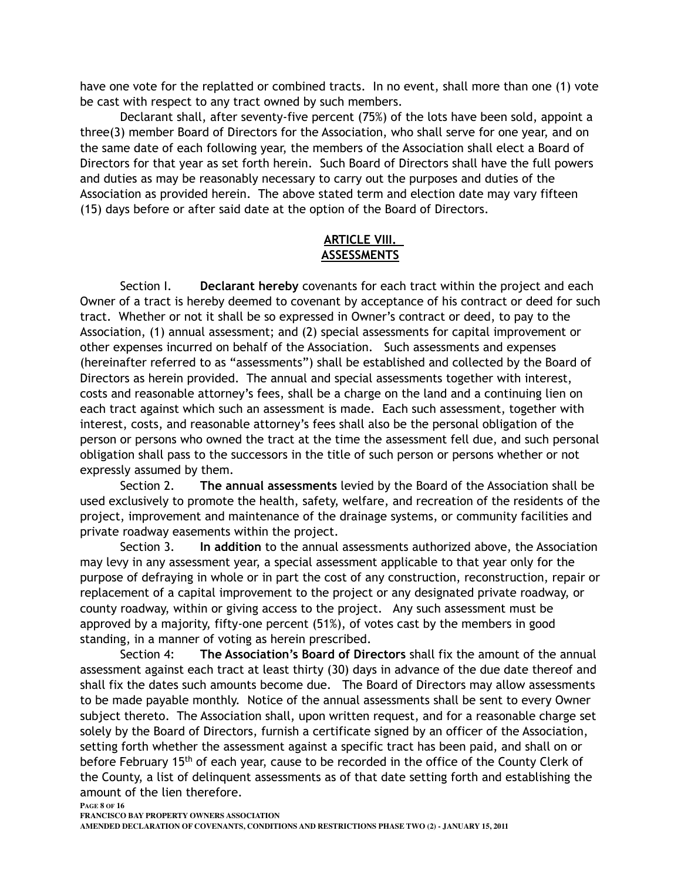have one vote for the replatted or combined tracts. In no event, shall more than one (1) vote be cast with respect to any tract owned by such members.

Declarant shall, after seventy-five percent (75%) of the lots have been sold, appoint a three(3) member Board of Directors for the Association, who shall serve for one year, and on the same date of each following year, the members of the Association shall elect a Board of Directors for that year as set forth herein. Such Board of Directors shall have the full powers and duties as may be reasonably necessary to carry out the purposes and duties of the Association as provided herein. The above stated term and election date may vary fifteen (15) days before or after said date at the option of the Board of Directors.

## **ARTICLE VIII. ASSESSMENTS**

Section I. **Declarant hereby** covenants for each tract within the project and each Owner of a tract is hereby deemed to covenant by acceptance of his contract or deed for such tract. Whether or not it shall be so expressed in Owner's contract or deed, to pay to the Association, (1) annual assessment; and (2) special assessments for capital improvement or other expenses incurred on behalf of the Association. Such assessments and expenses (hereinafter referred to as "assessments") shall be established and collected by the Board of Directors as herein provided. The annual and special assessments together with interest, costs and reasonable attorney's fees, shall be a charge on the land and a continuing lien on each tract against which such an assessment is made. Each such assessment, together with interest, costs, and reasonable attorney's fees shall also be the personal obligation of the person or persons who owned the tract at the time the assessment fell due, and such personal obligation shall pass to the successors in the title of such person or persons whether or not expressly assumed by them.

Section 2. **The annual assessments** levied by the Board of the Association shall be used exclusively to promote the health, safety, welfare, and recreation of the residents of the project, improvement and maintenance of the drainage systems, or community facilities and private roadway easements within the project.

Section 3. **In addition** to the annual assessments authorized above, the Association may levy in any assessment year, a special assessment applicable to that year only for the purpose of defraying in whole or in part the cost of any construction, reconstruction, repair or replacement of a capital improvement to the project or any designated private roadway, or county roadway, within or giving access to the project. Any such assessment must be approved by a majority, fifty-one percent (51%), of votes cast by the members in good standing, in a manner of voting as herein prescribed.

Section 4: **The Association's Board of Directors** shall fix the amount of the annual assessment against each tract at least thirty (30) days in advance of the due date thereof and shall fix the dates such amounts become due. The Board of Directors may allow assessments to be made payable monthly. Notice of the annual assessments shall be sent to every Owner subject thereto. The Association shall, upon written request, and for a reasonable charge set solely by the Board of Directors, furnish a certificate signed by an officer of the Association, setting forth whether the assessment against a specific tract has been paid, and shall on or before February 15<sup>th</sup> of each year, cause to be recorded in the office of the County Clerk of the County, a list of delinquent assessments as of that date setting forth and establishing the amount of the lien therefore.

#### **PAGE 8 OF 16**

**FRANCISCO BAY PROPERTY OWNERS ASSOCIATION**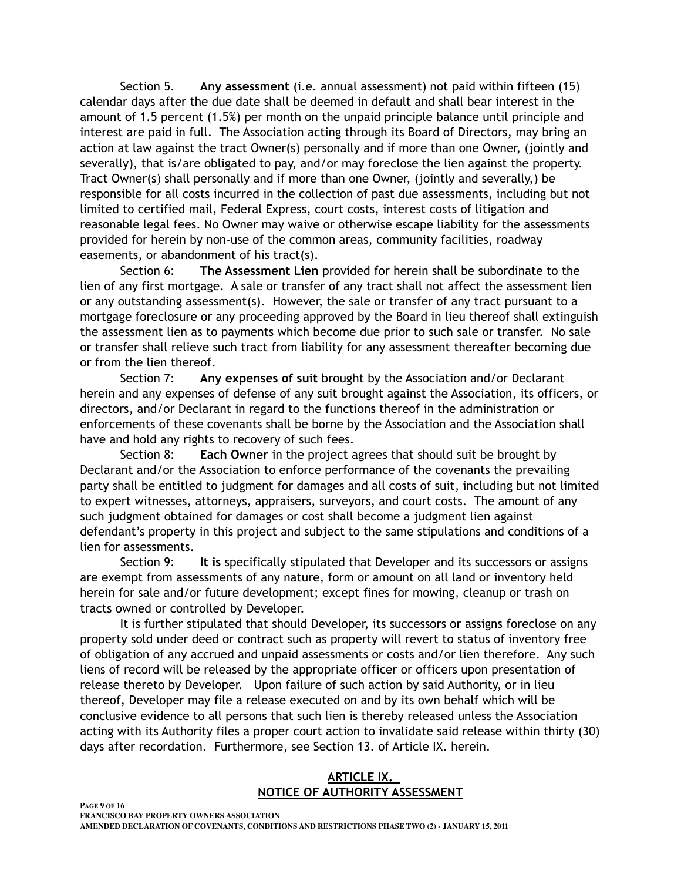Section 5. **Any assessment** (i.e. annual assessment) not paid within fifteen (15) calendar days after the due date shall be deemed in default and shall bear interest in the amount of 1.5 percent (1.5%) per month on the unpaid principle balance until principle and interest are paid in full. The Association acting through its Board of Directors, may bring an action at law against the tract Owner(s) personally and if more than one Owner, (jointly and severally), that is/are obligated to pay, and/or may foreclose the lien against the property. Tract Owner(s) shall personally and if more than one Owner, (jointly and severally,) be responsible for all costs incurred in the collection of past due assessments, including but not limited to certified mail, Federal Express, court costs, interest costs of litigation and reasonable legal fees. No Owner may waive or otherwise escape liability for the assessments provided for herein by non-use of the common areas, community facilities, roadway easements, or abandonment of his tract(s).

Section 6: **The Assessment Lien** provided for herein shall be subordinate to the lien of any first mortgage. A sale or transfer of any tract shall not affect the assessment lien or any outstanding assessment(s). However, the sale or transfer of any tract pursuant to a mortgage foreclosure or any proceeding approved by the Board in lieu thereof shall extinguish the assessment lien as to payments which become due prior to such sale or transfer. No sale or transfer shall relieve such tract from liability for any assessment thereafter becoming due or from the lien thereof.

Section 7: **Any expenses of suit** brought by the Association and/or Declarant herein and any expenses of defense of any suit brought against the Association, its officers, or directors, and/or Declarant in regard to the functions thereof in the administration or enforcements of these covenants shall be borne by the Association and the Association shall have and hold any rights to recovery of such fees.

Section 8: **Each Owner** in the project agrees that should suit be brought by Declarant and/or the Association to enforce performance of the covenants the prevailing party shall be entitled to judgment for damages and all costs of suit, including but not limited to expert witnesses, attorneys, appraisers, surveyors, and court costs. The amount of any such judgment obtained for damages or cost shall become a judgment lien against defendant's property in this project and subject to the same stipulations and conditions of a lien for assessments.

Section 9: **It is** specifically stipulated that Developer and its successors or assigns are exempt from assessments of any nature, form or amount on all land or inventory held herein for sale and/or future development; except fines for mowing, cleanup or trash on tracts owned or controlled by Developer.

It is further stipulated that should Developer, its successors or assigns foreclose on any property sold under deed or contract such as property will revert to status of inventory free of obligation of any accrued and unpaid assessments or costs and/or lien therefore. Any such liens of record will be released by the appropriate officer or officers upon presentation of release thereto by Developer. Upon failure of such action by said Authority, or in lieu thereof, Developer may file a release executed on and by its own behalf which will be conclusive evidence to all persons that such lien is thereby released unless the Association acting with its Authority files a proper court action to invalidate said release within thirty (30) days after recordation. Furthermore, see Section 13. of Article IX. herein.

#### **ARTICLE IX. NOTICE OF AUTHORITY ASSESSMENT**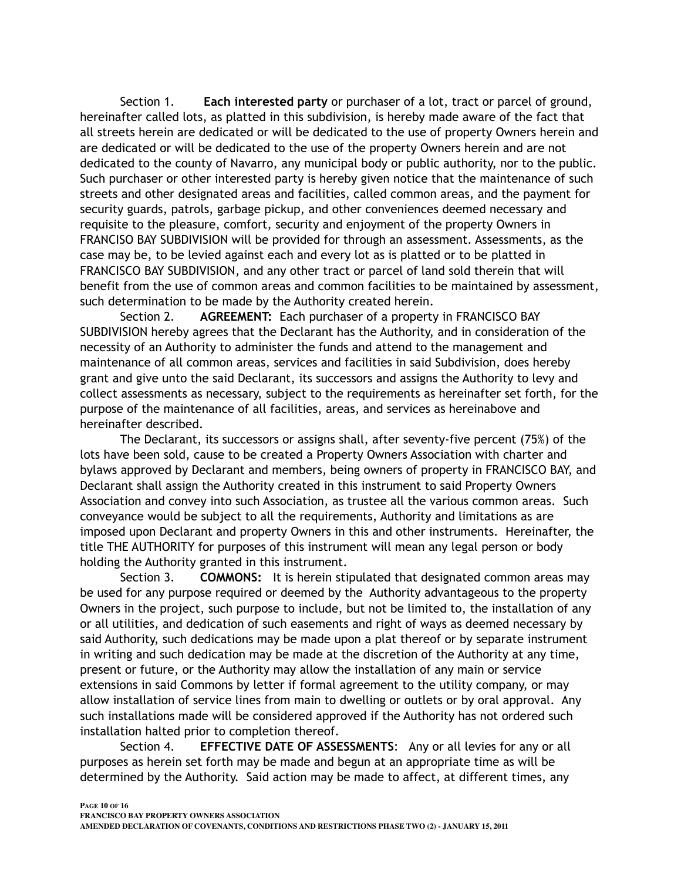Section 1. **Each interested party** or purchaser of a lot, tract or parcel of ground, hereinafter called lots, as platted in this subdivision, is hereby made aware of the fact that all streets herein are dedicated or will be dedicated to the use of property Owners herein and are dedicated or will be dedicated to the use of the property Owners herein and are not dedicated to the county of Navarro, any municipal body or public authority, nor to the public. Such purchaser or other interested party is hereby given notice that the maintenance of such streets and other designated areas and facilities, called common areas, and the payment for security guards, patrols, garbage pickup, and other conveniences deemed necessary and requisite to the pleasure, comfort, security and enjoyment of the property Owners in FRANCISO BAY SUBDIVISION will be provided for through an assessment. Assessments, as the case may be, to be levied against each and every lot as is platted or to be platted in FRANCISCO BAY SUBDIVISION, and any other tract or parcel of land sold therein that will benefit from the use of common areas and common facilities to be maintained by assessment, such determination to be made by the Authority created herein.

Section 2. **AGREEMENT:** Each purchaser of a property in FRANCISCO BAY SUBDIVISION hereby agrees that the Declarant has the Authority, and in consideration of the necessity of an Authority to administer the funds and attend to the management and maintenance of all common areas, services and facilities in said Subdivision, does hereby grant and give unto the said Declarant, its successors and assigns the Authority to levy and collect assessments as necessary, subject to the requirements as hereinafter set forth, for the purpose of the maintenance of all facilities, areas, and services as hereinabove and hereinafter described.

The Declarant, its successors or assigns shall, after seventy-five percent (75%) of the lots have been sold, cause to be created a Property Owners Association with charter and bylaws approved by Declarant and members, being owners of property in FRANCISCO BAY, and Declarant shall assign the Authority created in this instrument to said Property Owners Association and convey into such Association, as trustee all the various common areas. Such conveyance would be subject to all the requirements, Authority and limitations as are imposed upon Declarant and property Owners in this and other instruments. Hereinafter, the title THE AUTHORITY for purposes of this instrument will mean any legal person or body holding the Authority granted in this instrument.

Section 3. **COMMONS:** It is herein stipulated that designated common areas may be used for any purpose required or deemed by the Authority advantageous to the property Owners in the project, such purpose to include, but not be limited to, the installation of any or all utilities, and dedication of such easements and right of ways as deemed necessary by said Authority, such dedications may be made upon a plat thereof or by separate instrument in writing and such dedication may be made at the discretion of the Authority at any time, present or future, or the Authority may allow the installation of any main or service extensions in said Commons by letter if formal agreement to the utility company, or may allow installation of service lines from main to dwelling or outlets or by oral approval. Any such installations made will be considered approved if the Authority has not ordered such installation halted prior to completion thereof.

Section 4. **EFFECTIVE DATE OF ASSESSMENTS**: Any or all levies for any or all purposes as herein set forth may be made and begun at an appropriate time as will be determined by the Authority. Said action may be made to affect, at different times, any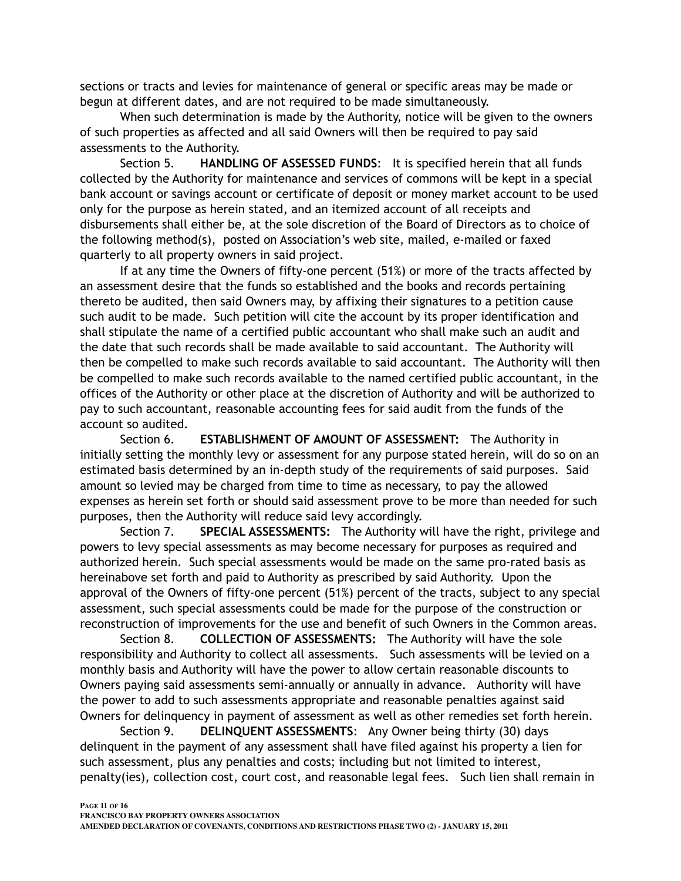sections or tracts and levies for maintenance of general or specific areas may be made or begun at different dates, and are not required to be made simultaneously.

When such determination is made by the Authority, notice will be given to the owners of such properties as affected and all said Owners will then be required to pay said assessments to the Authority.

Section 5. **HANDLING OF ASSESSED FUNDS**: It is specified herein that all funds collected by the Authority for maintenance and services of commons will be kept in a special bank account or savings account or certificate of deposit or money market account to be used only for the purpose as herein stated, and an itemized account of all receipts and disbursements shall either be, at the sole discretion of the Board of Directors as to choice of the following method(s), posted on Association's web site, mailed, e-mailed or faxed quarterly to all property owners in said project.

If at any time the Owners of fifty-one percent (51%) or more of the tracts affected by an assessment desire that the funds so established and the books and records pertaining thereto be audited, then said Owners may, by affixing their signatures to a petition cause such audit to be made. Such petition will cite the account by its proper identification and shall stipulate the name of a certified public accountant who shall make such an audit and the date that such records shall be made available to said accountant. The Authority will then be compelled to make such records available to said accountant. The Authority will then be compelled to make such records available to the named certified public accountant, in the offices of the Authority or other place at the discretion of Authority and will be authorized to pay to such accountant, reasonable accounting fees for said audit from the funds of the account so audited.

Section 6. **ESTABLISHMENT OF AMOUNT OF ASSESSMENT:** The Authority in initially setting the monthly levy or assessment for any purpose stated herein, will do so on an estimated basis determined by an in-depth study of the requirements of said purposes. Said amount so levied may be charged from time to time as necessary, to pay the allowed expenses as herein set forth or should said assessment prove to be more than needed for such purposes, then the Authority will reduce said levy accordingly.

Section 7. **SPECIAL ASSESSMENTS:** The Authority will have the right, privilege and powers to levy special assessments as may become necessary for purposes as required and authorized herein. Such special assessments would be made on the same pro-rated basis as hereinabove set forth and paid to Authority as prescribed by said Authority. Upon the approval of the Owners of fifty-one percent (51%) percent of the tracts, subject to any special assessment, such special assessments could be made for the purpose of the construction or reconstruction of improvements for the use and benefit of such Owners in the Common areas.

 Section 8. **COLLECTION OF ASSESSMENTS:** The Authority will have the sole responsibility and Authority to collect all assessments. Such assessments will be levied on a monthly basis and Authority will have the power to allow certain reasonable discounts to Owners paying said assessments semi-annually or annually in advance. Authority will have the power to add to such assessments appropriate and reasonable penalties against said Owners for delinquency in payment of assessment as well as other remedies set forth herein.

Section 9. **DELINQUENT ASSESSMENTS**: Any Owner being thirty (30) days delinquent in the payment of any assessment shall have filed against his property a lien for such assessment, plus any penalties and costs; including but not limited to interest, penalty(ies), collection cost, court cost, and reasonable legal fees. Such lien shall remain in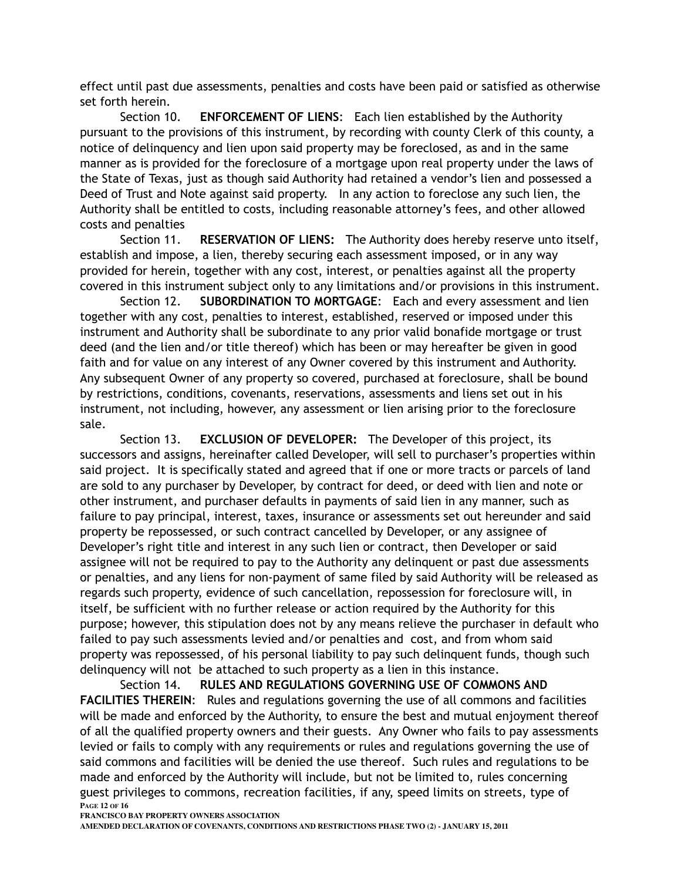effect until past due assessments, penalties and costs have been paid or satisfied as otherwise set forth herein.

Section 10. **ENFORCEMENT OF LIENS**: Each lien established by the Authority pursuant to the provisions of this instrument, by recording with county Clerk of this county, a notice of delinquency and lien upon said property may be foreclosed, as and in the same manner as is provided for the foreclosure of a mortgage upon real property under the laws of the State of Texas, just as though said Authority had retained a vendor's lien and possessed a Deed of Trust and Note against said property. In any action to foreclose any such lien, the Authority shall be entitled to costs, including reasonable attorney's fees, and other allowed costs and penalties

Section 11. **RESERVATION OF LIENS:** The Authority does hereby reserve unto itself, establish and impose, a lien, thereby securing each assessment imposed, or in any way provided for herein, together with any cost, interest, or penalties against all the property covered in this instrument subject only to any limitations and/or provisions in this instrument.

Section 12. **SUBORDINATION TO MORTGAGE**: Each and every assessment and lien together with any cost, penalties to interest, established, reserved or imposed under this instrument and Authority shall be subordinate to any prior valid bonafide mortgage or trust deed (and the lien and/or title thereof) which has been or may hereafter be given in good faith and for value on any interest of any Owner covered by this instrument and Authority. Any subsequent Owner of any property so covered, purchased at foreclosure, shall be bound by restrictions, conditions, covenants, reservations, assessments and liens set out in his instrument, not including, however, any assessment or lien arising prior to the foreclosure sale.

Section 13. **EXCLUSION OF DEVELOPER:** The Developer of this project, its successors and assigns, hereinafter called Developer, will sell to purchaser's properties within said project. It is specifically stated and agreed that if one or more tracts or parcels of land are sold to any purchaser by Developer, by contract for deed, or deed with lien and note or other instrument, and purchaser defaults in payments of said lien in any manner, such as failure to pay principal, interest, taxes, insurance or assessments set out hereunder and said property be repossessed, or such contract cancelled by Developer, or any assignee of Developer's right title and interest in any such lien or contract, then Developer or said assignee will not be required to pay to the Authority any delinquent or past due assessments or penalties, and any liens for non-payment of same filed by said Authority will be released as regards such property, evidence of such cancellation, repossession for foreclosure will, in itself, be sufficient with no further release or action required by the Authority for this purpose; however, this stipulation does not by any means relieve the purchaser in default who failed to pay such assessments levied and/or penalties and cost, and from whom said property was repossessed, of his personal liability to pay such delinquent funds, though such delinquency will not be attached to such property as a lien in this instance.

Section 14. **RULES AND REGULATIONS GOVERNING USE OF COMMONS AND FACILITIES THEREIN**: Rules and regulations governing the use of all commons and facilities will be made and enforced by the Authority, to ensure the best and mutual enjoyment thereof of all the qualified property owners and their guests. Any Owner who fails to pay assessments levied or fails to comply with any requirements or rules and regulations governing the use of said commons and facilities will be denied the use thereof. Such rules and regulations to be made and enforced by the Authority will include, but not be limited to, rules concerning guest privileges to commons, recreation facilities, if any, speed limits on streets, type of **PAGE 12 OF 16**

**FRANCISCO BAY PROPERTY OWNERS ASSOCIATION**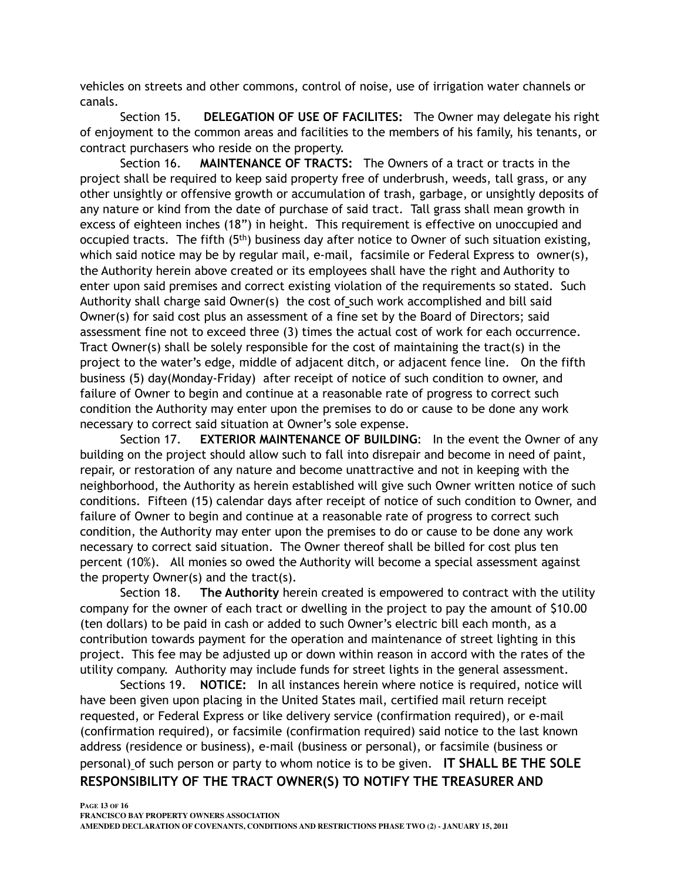vehicles on streets and other commons, control of noise, use of irrigation water channels or canals.

Section 15. **DELEGATION OF USE OF FACILITES:** The Owner may delegate his right of enjoyment to the common areas and facilities to the members of his family, his tenants, or contract purchasers who reside on the property.

Section 16. **MAINTENANCE OF TRACTS:** The Owners of a tract or tracts in the project shall be required to keep said property free of underbrush, weeds, tall grass, or any other unsightly or offensive growth or accumulation of trash, garbage, or unsightly deposits of any nature or kind from the date of purchase of said tract. Tall grass shall mean growth in excess of eighteen inches (18") in height. This requirement is effective on unoccupied and occupied tracts. The fifth  $(5<sup>th</sup>)$  business day after notice to Owner of such situation existing, which said notice may be by regular mail, e-mail, facsimile or Federal Express to owner(s), the Authority herein above created or its employees shall have the right and Authority to enter upon said premises and correct existing violation of the requirements so stated. Such Authority shall charge said Owner(s) the cost of such work accomplished and bill said Owner(s) for said cost plus an assessment of a fine set by the Board of Directors; said assessment fine not to exceed three (3) times the actual cost of work for each occurrence. Tract Owner(s) shall be solely responsible for the cost of maintaining the tract(s) in the project to the water's edge, middle of adjacent ditch, or adjacent fence line. On the fifth business (5) day(Monday-Friday) after receipt of notice of such condition to owner, and failure of Owner to begin and continue at a reasonable rate of progress to correct such condition the Authority may enter upon the premises to do or cause to be done any work necessary to correct said situation at Owner's sole expense.

Section 17. **EXTERIOR MAINTENANCE OF BUILDING**: In the event the Owner of any building on the project should allow such to fall into disrepair and become in need of paint, repair, or restoration of any nature and become unattractive and not in keeping with the neighborhood, the Authority as herein established will give such Owner written notice of such conditions. Fifteen (15) calendar days after receipt of notice of such condition to Owner, and failure of Owner to begin and continue at a reasonable rate of progress to correct such condition, the Authority may enter upon the premises to do or cause to be done any work necessary to correct said situation. The Owner thereof shall be billed for cost plus ten percent (10%). All monies so owed the Authority will become a special assessment against the property Owner(s) and the tract(s).

Section 18. **The Authority** herein created is empowered to contract with the utility company for the owner of each tract or dwelling in the project to pay the amount of \$10.00 (ten dollars) to be paid in cash or added to such Owner's electric bill each month, as a contribution towards payment for the operation and maintenance of street lighting in this project. This fee may be adjusted up or down within reason in accord with the rates of the utility company. Authority may include funds for street lights in the general assessment.

Sections 19. **NOTICE:** In all instances herein where notice is required, notice will have been given upon placing in the United States mail, certified mail return receipt requested, or Federal Express or like delivery service (confirmation required), or e-mail (confirmation required), or facsimile (confirmation required) said notice to the last known address (residence or business), e-mail (business or personal), or facsimile (business or personal) of such person or party to whom notice is to be given. **IT SHALL BE THE SOLE RESPONSIBILITY OF THE TRACT OWNER(S) TO NOTIFY THE TREASURER AND**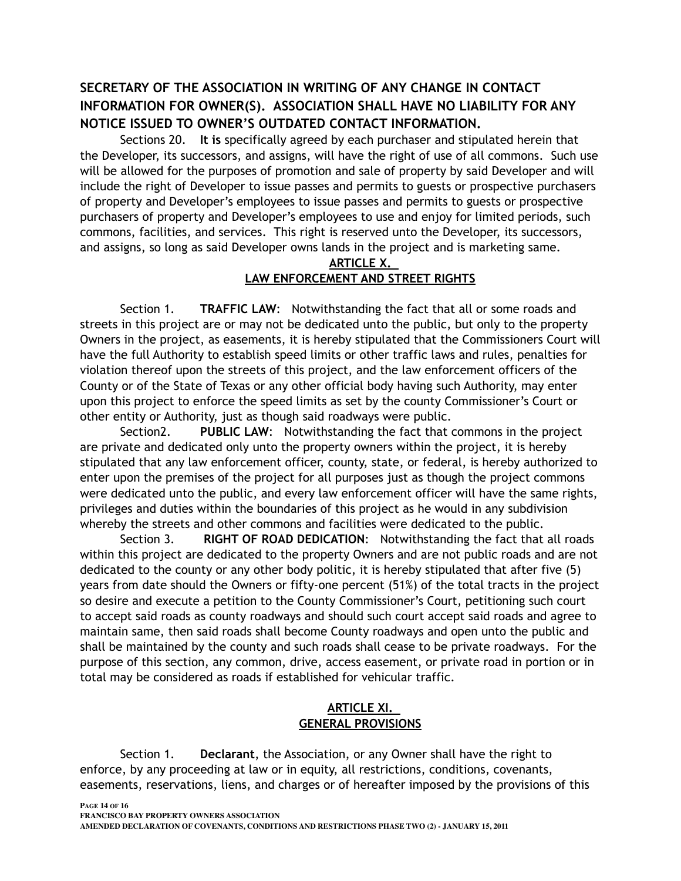# **SECRETARY OF THE ASSOCIATION IN WRITING OF ANY CHANGE IN CONTACT INFORMATION FOR OWNER(S). ASSOCIATION SHALL HAVE NO LIABILITY FOR ANY NOTICE ISSUED TO OWNER'S OUTDATED CONTACT INFORMATION.**

Sections 20. **It is** specifically agreed by each purchaser and stipulated herein that the Developer, its successors, and assigns, will have the right of use of all commons. Such use will be allowed for the purposes of promotion and sale of property by said Developer and will include the right of Developer to issue passes and permits to guests or prospective purchasers of property and Developer's employees to issue passes and permits to guests or prospective purchasers of property and Developer's employees to use and enjoy for limited periods, such commons, facilities, and services. This right is reserved unto the Developer, its successors, and assigns, so long as said Developer owns lands in the project and is marketing same.

#### **ARTICLE X. LAW ENFORCEMENT AND STREET RIGHTS**

Section 1. **TRAFFIC LAW**: Notwithstanding the fact that all or some roads and streets in this project are or may not be dedicated unto the public, but only to the property Owners in the project, as easements, it is hereby stipulated that the Commissioners Court will have the full Authority to establish speed limits or other traffic laws and rules, penalties for violation thereof upon the streets of this project, and the law enforcement officers of the County or of the State of Texas or any other official body having such Authority, may enter upon this project to enforce the speed limits as set by the county Commissioner's Court or other entity or Authority, just as though said roadways were public.

Section2. **PUBLIC LAW**: Notwithstanding the fact that commons in the project are private and dedicated only unto the property owners within the project, it is hereby stipulated that any law enforcement officer, county, state, or federal, is hereby authorized to enter upon the premises of the project for all purposes just as though the project commons were dedicated unto the public, and every law enforcement officer will have the same rights, privileges and duties within the boundaries of this project as he would in any subdivision whereby the streets and other commons and facilities were dedicated to the public.

Section 3. **RIGHT OF ROAD DEDICATION**: Notwithstanding the fact that all roads within this project are dedicated to the property Owners and are not public roads and are not dedicated to the county or any other body politic, it is hereby stipulated that after five (5) years from date should the Owners or fifty-one percent (51%) of the total tracts in the project so desire and execute a petition to the County Commissioner's Court, petitioning such court to accept said roads as county roadways and should such court accept said roads and agree to maintain same, then said roads shall become County roadways and open unto the public and shall be maintained by the county and such roads shall cease to be private roadways. For the purpose of this section, any common, drive, access easement, or private road in portion or in total may be considered as roads if established for vehicular traffic.

## **ARTICLE XI. GENERAL PROVISIONS**

Section 1. **Declarant**, the Association, or any Owner shall have the right to enforce, by any proceeding at law or in equity, all restrictions, conditions, covenants, easements, reservations, liens, and charges or of hereafter imposed by the provisions of this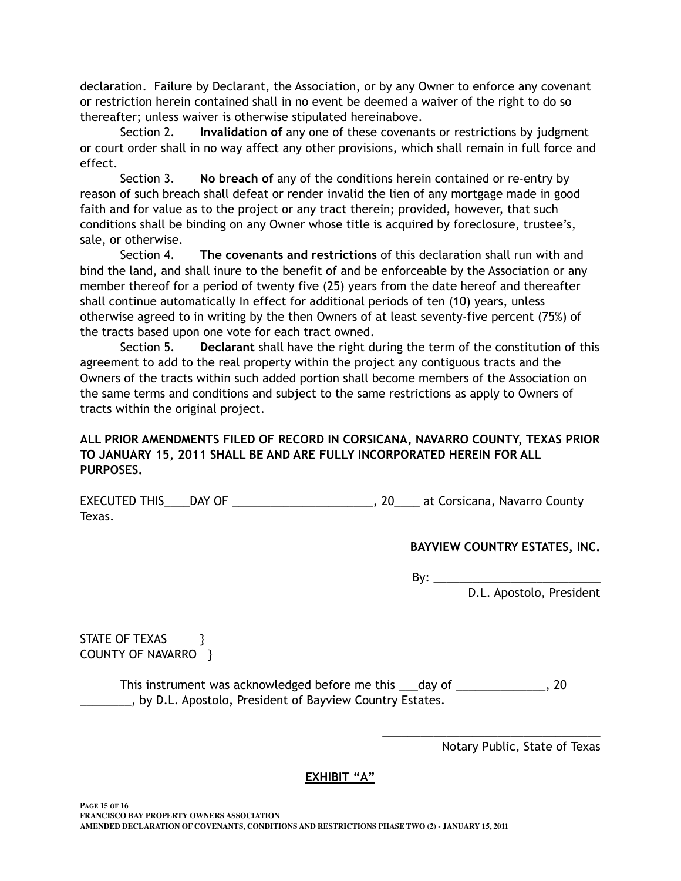declaration. Failure by Declarant, the Association, or by any Owner to enforce any covenant or restriction herein contained shall in no event be deemed a waiver of the right to do so thereafter; unless waiver is otherwise stipulated hereinabove.

Section 2. **Invalidation of** any one of these covenants or restrictions by judgment or court order shall in no way affect any other provisions, which shall remain in full force and effect.

Section 3. **No breach of** any of the conditions herein contained or re-entry by reason of such breach shall defeat or render invalid the lien of any mortgage made in good faith and for value as to the project or any tract therein; provided, however, that such conditions shall be binding on any Owner whose title is acquired by foreclosure, trustee's, sale, or otherwise.

Section 4. **The covenants and restrictions** of this declaration shall run with and bind the land, and shall inure to the benefit of and be enforceable by the Association or any member thereof for a period of twenty five (25) years from the date hereof and thereafter shall continue automatically In effect for additional periods of ten (10) years, unless otherwise agreed to in writing by the then Owners of at least seventy-five percent (75%) of the tracts based upon one vote for each tract owned.

Section 5. **Declarant** shall have the right during the term of the constitution of this agreement to add to the real property within the project any contiguous tracts and the Owners of the tracts within such added portion shall become members of the Association on the same terms and conditions and subject to the same restrictions as apply to Owners of tracts within the original project.

## **ALL PRIOR AMENDMENTS FILED OF RECORD IN CORSICANA, NAVARRO COUNTY, TEXAS PRIOR TO JANUARY 15, 2011 SHALL BE AND ARE FULLY INCORPORATED HEREIN FOR ALL PURPOSES.**

EXECUTED THIS\_\_\_\_DAY OF \_\_\_\_\_\_\_\_\_\_\_\_\_\_\_\_\_\_\_\_\_\_\_\_\_\_\_\_, 20\_\_\_\_\_ at Corsicana, Navarro County Texas.

## **BAYVIEW COUNTRY ESTATES, INC.**

By:  $\rule{1em}{0.15mm}$ D.L. Apostolo, President

STATE OF TEXAS } COUNTY OF NAVARRO }

This instrument was acknowledged before me this \_\_\_day of \_\_\_\_\_\_\_\_\_\_\_\_\_, 20 **EXECUCE:** by D.L. Apostolo, President of Bayview Country Estates.

Notary Public, State of Texas

\_\_\_\_\_\_\_\_\_\_\_\_\_\_\_\_\_\_\_\_\_\_\_\_\_\_\_\_\_\_\_\_\_\_

#### **EXHIBIT "A"**